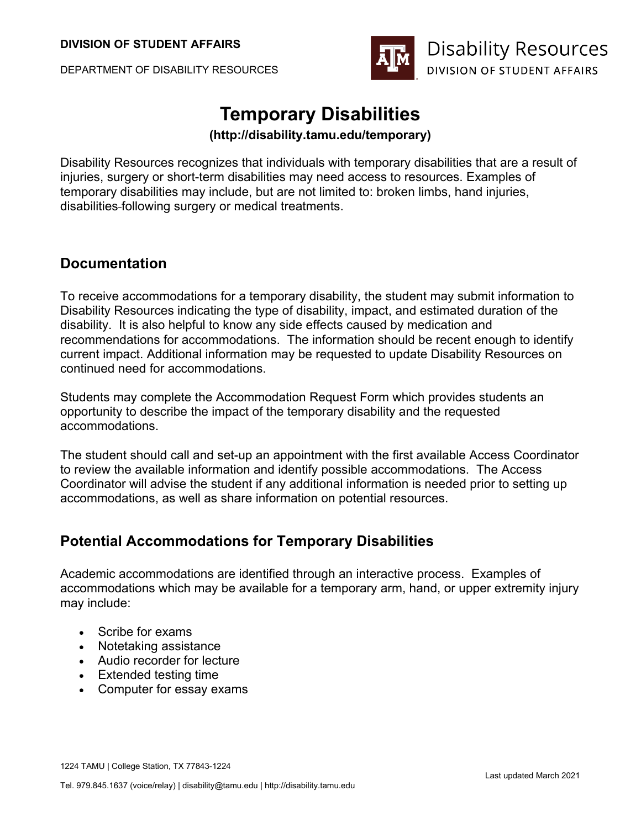DEPARTMENT OF DISABILITY RESOURCES



# **Temporary Disabilities**

#### **(http://disability.tamu.edu/temporary)**

Disability Resources recognizes that individuals with temporary disabilities that are a result of injuries, surgery or short-term disabilities may need access to resources. Examples of temporary disabilities may include, but are not limited to: broken limbs, hand injuries, disabilities following surgery or medical treatments.

### **Documentation**

To receive accommodations for a temporary disability, the student may submit information to Disability Resources indicating the type of disability, impact, and estimated duration of the disability. It is also helpful to know any side effects caused by medication and recommendations for accommodations. The information should be recent enough to identify current impact. Additional information may be requested to update Disability Resources on continued need for accommodations.

Students may complete the Accommodation Request Form which provides students an opportunity to describe the impact of the temporary disability and the requested accommodations.

The student should call and set-up an appointment with the first available Access Coordinator to review the available information and identify possible accommodations. The Access Coordinator will advise the student if any additional information is needed prior to setting up accommodations, as well as share information on potential resources.

### **Potential Accommodations for Temporary Disabilities**

Academic accommodations are identified through an interactive process. Examples of accommodations which may be available for a temporary arm, hand, or upper extremity injury may include:

- Scribe for exams
- Notetaking assistance
- Audio recorder for lecture
- Extended testing time
- Computer for essay exams